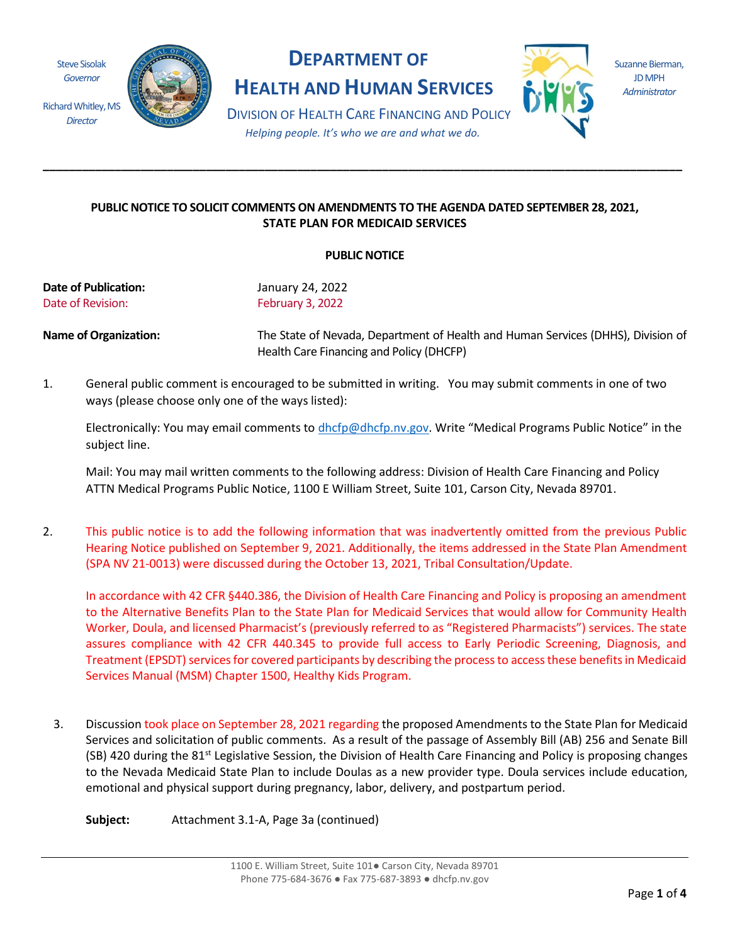Steve Sisolak *Governor*

*Director*



## **DEPARTMENT OF**

**HEALTH AND HUMAN SERVICES**



Suzanne Bierman, JD MPH *Administrator*

DIVISION OF HEALTH CARE FINANCING AND POLICY *Helping people. It's who we are and what we do.*

**\_\_\_\_\_\_\_\_\_\_\_\_\_\_\_\_\_\_\_\_\_\_\_\_\_\_\_\_\_\_\_\_\_\_\_\_\_\_\_\_\_\_\_\_\_\_\_\_\_\_\_\_\_\_\_\_\_\_\_\_\_\_\_\_\_\_\_\_\_\_\_\_\_\_\_\_\_\_\_\_\_\_\_\_\_\_\_\_\_\_\_\_\_\_\_\_\_\_** 

## **PUBLIC NOTICE TO SOLICIT COMMENTS ON AMENDMENTS TO THE AGENDA DATED SEPTEMBER 28, 2021, STATE PLAN FOR MEDICAID SERVICES**

## **PUBLIC NOTICE**

**Date of Publication:** January 24, 2022 Date of Revision: February 3, 2022

**Name of Organization:** The State of Nevada, Department of Health and Human Services (DHHS), Division of Health Care Financing and Policy (DHCFP)

1. General public comment is encouraged to be submitted in writing. You may submit comments in one of two ways (please choose only one of the ways listed):

Electronically: You may email comments to [dhcfp@dhcfp.nv.gov.](mailto:dhcfp@dhcfp.nv.gov) Write "Medical Programs Public Notice" in the subject line.

Mail: You may mail written comments to the following address: Division of Health Care Financing and Policy ATTN Medical Programs Public Notice, 1100 E William Street, Suite 101, Carson City, Nevada 89701.

2. This public notice is to add the following information that was inadvertently omitted from the previous Public Hearing Notice published on September 9, 2021. Additionally, the items addressed in the State Plan Amendment (SPA NV 21-0013) were discussed during the October 13, 2021, Tribal Consultation/Update.

In accordance with 42 CFR §440.386, the Division of Health Care Financing and Policy is proposing an amendment to the Alternative Benefits Plan to the State Plan for Medicaid Services that would allow for Community Health Worker, Doula, and licensed Pharmacist's (previously referred to as "Registered Pharmacists") services. The state assures compliance with 42 CFR 440.345 to provide full access to Early Periodic Screening, Diagnosis, and Treatment (EPSDT) services for covered participants by describing the process to access these benefits in Medicaid Services Manual (MSM) Chapter 1500, Healthy Kids Program.

3. Discussion took place on September 28, 2021 regarding the proposed Amendments to the State Plan for Medicaid Services and solicitation of public comments. As a result of the passage of Assembly Bill (AB) 256 and Senate Bill (SB) 420 during the  $81^{st}$  Legislative Session, the Division of Health Care Financing and Policy is proposing changes to the Nevada Medicaid State Plan to include Doulas as a new provider type. Doula services include education, emotional and physical support during pregnancy, labor, delivery, and postpartum period.

**Subject:** Attachment 3.1-A, Page 3a (continued)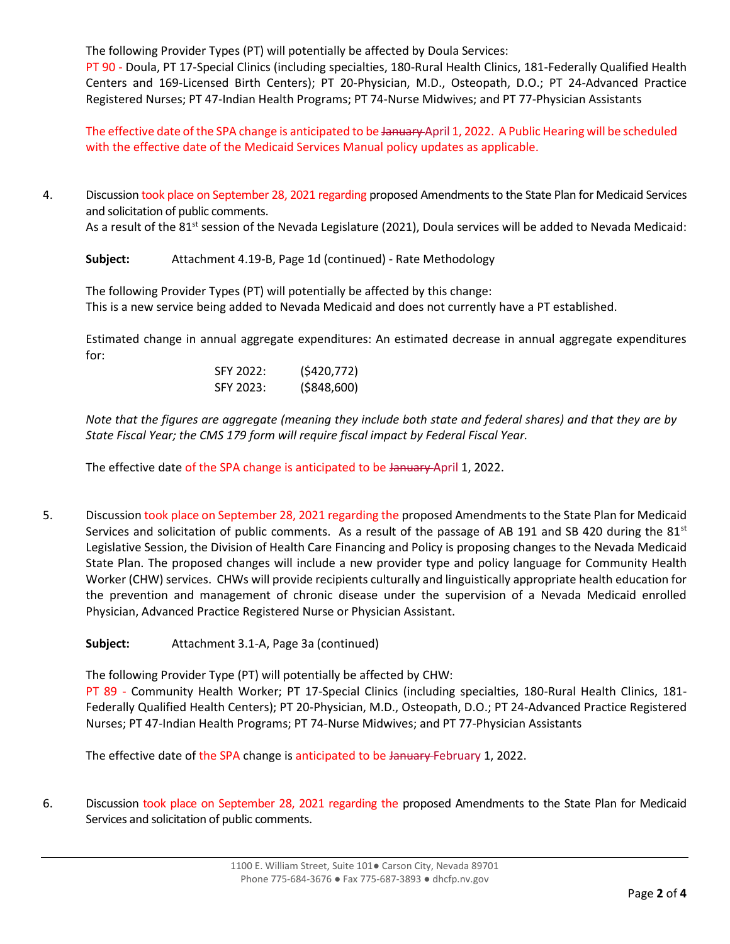The following Provider Types (PT) will potentially be affected by Doula Services:

PT 90 - Doula, PT 17-Special Clinics (including specialties, 180-Rural Health Clinics, 181-Federally Qualified Health Centers and 169-Licensed Birth Centers); PT 20-Physician, M.D., Osteopath, D.O.; PT 24-Advanced Practice Registered Nurses; PT 47-Indian Health Programs; PT 74-Nurse Midwives; and PT 77-Physician Assistants

The effective date of the SPA change is anticipated to be January April 1, 2022. A Public Hearing will be scheduled with the effective date of the Medicaid Services Manual policy updates as applicable.

4. Discussion took place on September 28, 2021 regarding proposed Amendments to the State Plan for Medicaid Services and solicitation of public comments.

As a result of the 81<sup>st</sup> session of the Nevada Legislature (2021), Doula services will be added to Nevada Medicaid:

**Subject:** Attachment 4.19-B, Page 1d (continued) - Rate Methodology

The following Provider Types (PT) will potentially be affected by this change: This is a new service being added to Nevada Medicaid and does not currently have a PT established.

Estimated change in annual aggregate expenditures: An estimated decrease in annual aggregate expenditures for:

| SFY 2022: | (5420,772)    |
|-----------|---------------|
| SFY 2023: | ( \$848, 600) |

*Note that the figures are aggregate (meaning they include both state and federal shares) and that they are by State Fiscal Year; the CMS 179 form will require fiscal impact by Federal Fiscal Year.*

The effective date of the SPA change is anticipated to be January April 1, 2022.

- 5. Discussion took place on September 28, 2021 regarding the proposed Amendments to the State Plan for Medicaid Services and solicitation of public comments. As a result of the passage of AB 191 and SB 420 during the  $81<sup>st</sup>$ Legislative Session, the Division of Health Care Financing and Policy is proposing changes to the Nevada Medicaid State Plan. The proposed changes will include a new provider type and policy language for Community Health Worker (CHW) services. CHWs will provide recipients culturally and linguistically appropriate health education for the prevention and management of chronic disease under the supervision of a Nevada Medicaid enrolled Physician, Advanced Practice Registered Nurse or Physician Assistant.
	- **Subject:** Attachment 3.1-A, Page 3a (continued)

The following Provider Type (PT) will potentially be affected by CHW:

PT 89 - Community Health Worker; PT 17-Special Clinics (including specialties, 180-Rural Health Clinics, 181- Federally Qualified Health Centers); PT 20-Physician, M.D., Osteopath, D.O.; PT 24-Advanced Practice Registered Nurses; PT 47-Indian Health Programs; PT 74-Nurse Midwives; and PT 77-Physician Assistants

The effective date of the SPA change is anticipated to be January-February 1, 2022.

6. Discussion took place on September 28, 2021 regarding the proposed Amendments to the State Plan for Medicaid Services and solicitation of public comments.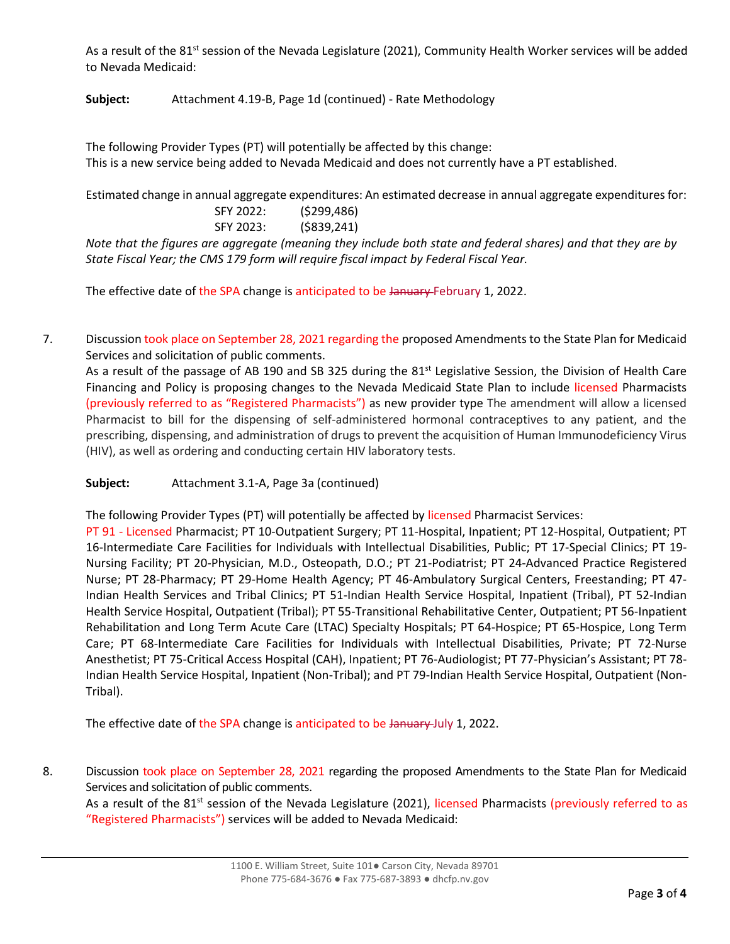As a result of the 81<sup>st</sup> session of the Nevada Legislature (2021), Community Health Worker services will be added to Nevada Medicaid:

**Subject:** Attachment 4.19-B, Page 1d (continued) - Rate Methodology

The following Provider Types (PT) will potentially be affected by this change: This is a new service being added to Nevada Medicaid and does not currently have a PT established.

Estimated change in annual aggregate expenditures: An estimated decrease in annual aggregate expenditures for:

| SFY 2022: | (5299, 486)    |
|-----------|----------------|
| SFY 2023: | $($ \$839,241) |

*Note that the figures are aggregate (meaning they include both state and federal shares) and that they are by State Fiscal Year; the CMS 179 form will require fiscal impact by Federal Fiscal Year.*

The effective date of the SPA change is anticipated to be January-February 1, 2022.

7. Discussion took place on September 28, 2021 regarding the proposed Amendments to the State Plan for Medicaid Services and solicitation of public comments.

As a result of the passage of AB 190 and SB 325 during the 81<sup>st</sup> Legislative Session, the Division of Health Care Financing and Policy is proposing changes to the Nevada Medicaid State Plan to include licensed Pharmacists (previously referred to as "Registered Pharmacists") as new provider type The amendment will allow a licensed Pharmacist to bill for the dispensing of self-administered hormonal contraceptives to any patient, and the prescribing, dispensing, and administration of drugs to prevent the acquisition of Human Immunodeficiency Virus (HIV), as well as ordering and conducting certain HIV laboratory tests.

**Subject:** Attachment 3.1-A, Page 3a (continued)

The following Provider Types (PT) will potentially be affected by licensed Pharmacist Services:

PT 91 - Licensed Pharmacist; PT 10-Outpatient Surgery; PT 11-Hospital, Inpatient; PT 12-Hospital, Outpatient; PT 16-Intermediate Care Facilities for Individuals with Intellectual Disabilities, Public; PT 17-Special Clinics; PT 19- Nursing Facility; PT 20-Physician, M.D., Osteopath, D.O.; PT 21-Podiatrist; PT 24-Advanced Practice Registered Nurse; PT 28-Pharmacy; PT 29-Home Health Agency; PT 46-Ambulatory Surgical Centers, Freestanding; PT 47- Indian Health Services and Tribal Clinics; PT 51-Indian Health Service Hospital, Inpatient (Tribal), PT 52-Indian Health Service Hospital, Outpatient (Tribal); PT 55-Transitional Rehabilitative Center, Outpatient; PT 56-Inpatient Rehabilitation and Long Term Acute Care (LTAC) Specialty Hospitals; PT 64-Hospice; PT 65-Hospice, Long Term Care; PT 68-Intermediate Care Facilities for Individuals with Intellectual Disabilities, Private; PT 72-Nurse Anesthetist; PT 75-Critical Access Hospital (CAH), Inpatient; PT 76-Audiologist; PT 77-Physician's Assistant; PT 78- Indian Health Service Hospital, Inpatient (Non-Tribal); and PT 79-Indian Health Service Hospital, Outpatient (Non-Tribal).

The effective date of the SPA change is anticipated to be January July 1, 2022.

8. Discussion took place on September 28, 2021 regarding the proposed Amendments to the State Plan for Medicaid Services and solicitation of public comments.

As a result of the 81<sup>st</sup> session of the Nevada Legislature (2021), licensed Pharmacists (previously referred to as "Registered Pharmacists") services will be added to Nevada Medicaid: